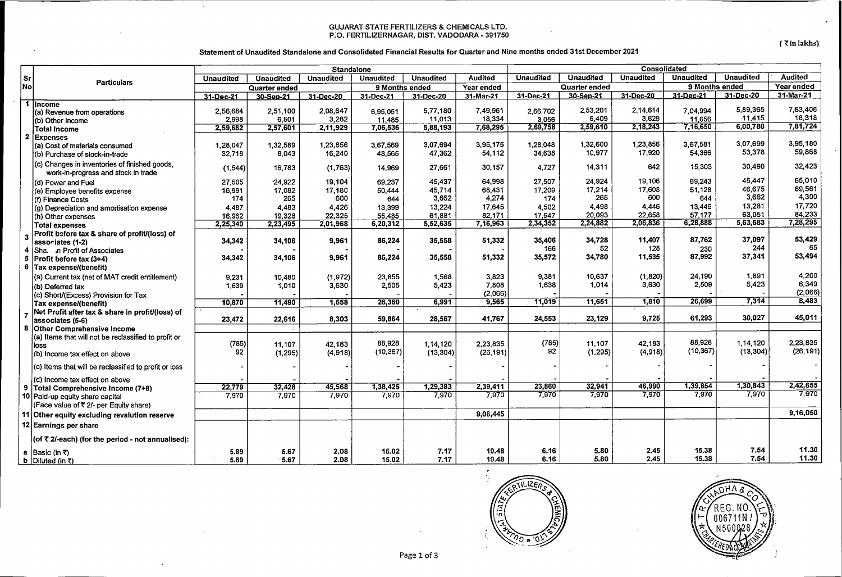#### GUJARAT STATE FERTILIZERS & CHEMICALS LTD. P:o. FERTILIZERNAGAR, DIST. VADODARA- 391750

 $\sim$ 

 $\sim$ 

 $\zeta$   $\bar{\zeta}$  in lakhs)

#### Statement of Unaudited Standalone and Consolidated Financial Results for Quarter and Nine months ended 31st December 2021

|    |                                                                        | <b>Standalone</b>  |                   |                    |                    |                  | Consolidated       |                   |                   |                   |                    |                       |                |
|----|------------------------------------------------------------------------|--------------------|-------------------|--------------------|--------------------|------------------|--------------------|-------------------|-------------------|-------------------|--------------------|-----------------------|----------------|
| Sr |                                                                        | <b>Unaudited</b>   | <b>Unaudited</b>  | <b>Unaudited</b>   | <b>Unaudited</b>   | <b>Unaudited</b> | <b>Audited</b>     | <b>Unaudited</b>  | <b>Unaudited</b>  | <b>Unaudited</b>  | <b>Unaudited</b>   | <b>Unaudited</b>      | <b>Audited</b> |
| No | <b>Particulars</b>                                                     | Quarter ended      |                   |                    | 9 Months ended     |                  | Year ended         | Quarter ended     |                   |                   | 9 Months ended     |                       | Year ended     |
|    |                                                                        | 31-Dec-21          | 30-Sep-21         | 31-Dec-20          | 31-Dec-21          | 31-Dec-20        | 31-Mar-21          | 31-Dec-21         | 30-Sep-21         | 31-Dec-20         | 31-Dec-21          | 31-Dec-20             | $31$ -Mar-21   |
|    | $1$ Income                                                             |                    |                   |                    |                    |                  |                    |                   |                   |                   |                    |                       | 7,63,406       |
|    | (a) Revenue from operations                                            | 2,56.684           | 2,51,100          | 2,08,647           | 6,95,051           | 5,77,180         | 7,49,961           | 2,66,702          | 2,53,201<br>6.409 | 2.14.614          | 7,04,994           | 5,89,365<br>$-11,415$ | 18,318         |
|    | (b) Other Income                                                       | 2.998              | 6,501             | 3.282              | 11.485             | 11,013           | 18,334<br>7,68,295 | 3,056<br>2,69,758 | 2,59,610          | 3,629<br>2,18,243 | 11,656<br>7,16,650 | 6,00,780              | 7,81,724       |
|    | <b>Total Income</b>                                                    | 2,59,682           | 2,57,601          | 2,11,929           | 7,06,536           | 5,88,193         |                    |                   |                   |                   |                    |                       |                |
|    | 2 Expenses                                                             |                    |                   |                    |                    | 3,07,694         | 3.95,175           | 1,28,048          | 1,32,600          | 1.23,856          | 3,67,581           | 3,07,699              | 3,95,180       |
|    | (a) Cost of materials consumed                                         | 1,28,047<br>32.718 | 1,32,589<br>8,043 | 1,23,856<br>16.240 | 3,67,569<br>48,565 | 47,362           | 54,112             | 34.638            | 10.977            | 17,920            | 54,366             | 53,378                | 59,868         |
|    | (b) Purchase of stock-in-trade                                         |                    |                   |                    |                    |                  |                    |                   |                   |                   |                    |                       |                |
|    | (c) Changes in inventories of finished goods,                          | (1.544)            | 16,783            | (1,763)            | 14,969             | 27,661           | 30,157             | 4.727             | 14,311            | 642               | 15,303             | 30,490                | 32,423         |
|    | work-in-progress and stock in trade                                    |                    |                   |                    |                    |                  |                    |                   |                   |                   |                    | 45,447                | 65,010         |
|    | (d) Power and Fuel                                                     | 27,505             | 24,922            | 19.104             | 69.237             | 45.437           | 64,998             | 27,507            | 24.924<br>17,214  | 19,106<br>17,608  | 69.243<br>51,128   | 46.675                | 69,561         |
|    | (e) Employee benefits expense                                          | 16,991             | 17,082<br>265     | 17.180<br>600      | 50,444             | 45.714<br>3,662  | 68,431             | 17,209            | 265               | 600               | 644                | 3,662                 | 4,300          |
|    | (f) Finance Costs                                                      | 174                |                   | 4.426              | 644                | 13,224           | 4,274<br>17,645    | 174<br>4,502      | 4,498             | 4.446             | 13,446             | 13,281                | 17,720         |
|    | (g) Depreciation and amortisation expense                              | 4.487              | 4,483<br>19,328   | 22.325             | 13.399<br>55,485   | 61,881           | 82,171             | 17.547            | 20,093            | 22.658            | 57.177             | 63,051                | 84,233         |
|    | (h) Other expenses                                                     | 16,962<br>2,25,340 | 2,23,495          | 2,01,968           | 6,20,312           | 5,52,635         | 7,16,963           | 2,34,352          | 2,24,882          | 2,06,836          | 6,28,888           | 5,63,683              | 7,28,295       |
|    | <b>Total expenses</b><br>Profit before tax & share of profit/(loss) of |                    |                   |                    |                    |                  |                    |                   |                   |                   |                    |                       |                |
|    | assoriates (1-2)                                                       | 34,342             | 34,106            | 9,961              | 86,224             | 35,558           | 51,332             | 35,406            | 34,728            | 11,407            | 87,762             | 37,097                | 53,429         |
| 4  | Sha. .n Profit of Associates                                           |                    |                   |                    |                    |                  |                    | 166               | 52                | 128               | 230                | 244                   | 65             |
| 5. | Profit before tax (3+4)                                                | 34,342             | 34,106            | 9,961              | 86,224             | 35,558           | 51,332             | 35,572            | 34,780            | 11,535            | 87,992             | 37,341                | 53,494         |
|    | 6 Tax expense/(benefit)                                                |                    |                   |                    |                    |                  |                    |                   |                   |                   |                    |                       |                |
|    | (a) Current tax (net of MAT credit entitlement)                        | 9,231              | 10,480            | (1, 972)           | 23,855             | 1,568            | 3,823              | 9,381             | 10,637            | (1,820)           | 24,190             | 1,891                 | 4,200          |
|    | (b) Deferred tax                                                       | 1,639              | 1,010             | 3,630              | 2.505              | 5.423            | 7,808              | 1.638             | 1,014             | 3,630             | 2,509              | 5,423                 | 6,349          |
|    | (c) Short/(Excess) Provision for Tax                                   |                    |                   |                    |                    |                  | (2,066)            |                   |                   |                   |                    |                       | (2,066)        |
|    | Tax expense/(benefit)                                                  | 10,870             | 11,490            | 1,658              | 26,360             | 6,991            | 9,565              | 11,019            | 11,651            | 1,810             | 26,699             | 7,314                 | 8,483          |
|    | Net Profit after tax & share in profit/(loss) of                       |                    |                   |                    |                    |                  |                    |                   |                   |                   |                    |                       |                |
|    | associates (5-6)                                                       | 23,472             | 22,616            | 8,303              | 59,864             | 28,567           | 41,767             | 24,553            | 23,129            | 9,725             | 61,293             | 30,027                | 45,011         |
|    | 8 Other Comprehensive Income                                           |                    |                   |                    |                    |                  |                    |                   |                   |                   |                    |                       |                |
|    | (a) Items that will not be reclassified to profit or                   |                    |                   |                    |                    |                  |                    |                   |                   |                   |                    |                       |                |
|    | loss                                                                   | (785)              | 11.107            | 42.183             | 88,928             | 1,14,120         | 2,23,835           | (785)             | 11.107            | 42.183            | 88,928             | 1.14.120              | 2,23,835       |
|    | (b) Income tax effect on above                                         | 92                 | (1, 295)          | (4,918)            | (10, 367)          | (13, 304)        | (26, 191)          | 92                | (1, 295)          | (4, 918)          | (10, 367)          | (13, 304)             | (26, 191)      |
|    | (c) Items that will be reclassified to profit or loss                  |                    |                   |                    |                    |                  |                    |                   |                   |                   |                    |                       |                |
|    | (d) Income tax effect on above                                         |                    |                   |                    |                    |                  |                    |                   |                   |                   |                    |                       |                |
|    | 9 Total Comprehensive Income (7+8)                                     | 22,779             | 32,428            | 45,568             | 1,38,425           | 1,29,383         | 2,39,411           | 23,860            | 32,941            | 46,990            | 1,39,854           | 1,30,843              | 2,42,655       |
|    | 10 Paid-up equity share capital                                        | 7,970              | 7,970             | 7,970              | 7,970              | 7.970            | 7,970              | 7,970             | 7,970             | 7,970             | 7,970              | 7,970                 | 7,970          |
|    | (Face value of ₹ 2/- per Equity share)                                 |                    |                   |                    |                    |                  |                    |                   |                   |                   |                    |                       |                |
|    | 11 Other equity excluding revalution reserve                           |                    |                   |                    |                    |                  | 9,06,445           |                   |                   |                   |                    |                       | 9,16,050       |
|    | 12 Earnings per share                                                  |                    |                   |                    |                    |                  |                    |                   |                   |                   |                    |                       |                |
|    | (of ₹ 2/-each) (for the period - not annualised):                      |                    |                   |                    |                    |                  |                    |                   |                   |                   |                    |                       |                |
|    | a Basic (in ₹)                                                         | 5.89               | 5.67              | 2.08               | 15.02              | 7.17             | 10.48              | 6.16              | 5,80              | 2.45              | 15.38              | 7.54                  | 11.30          |
|    | <b>b</b> Diluted (in $\bar{x}$ )                                       | 5.89               | 5.67              | 2.08               | 15.02              | 7.17             | 10.48              | 6.16              | 5.80              | 2.45              | 15.38              | 7.54                  | 11.30          |



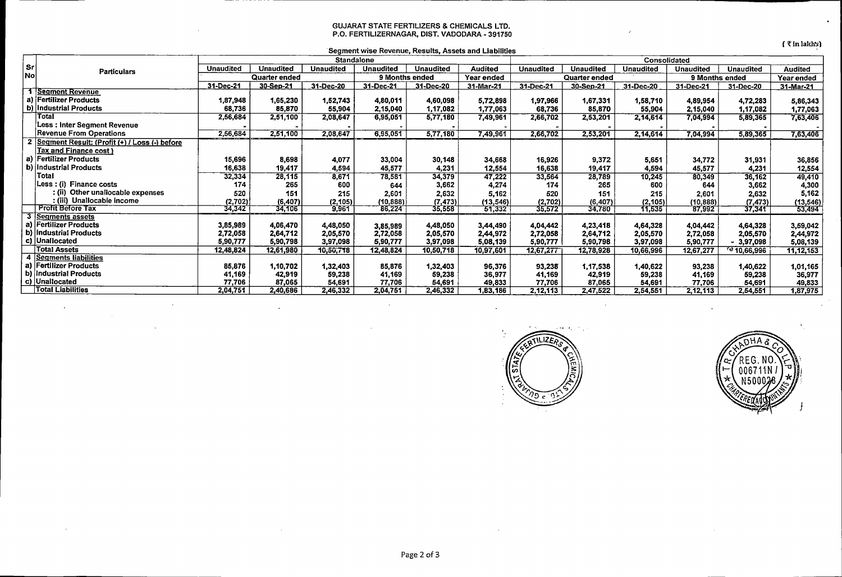#### GUJARAT STATE FERTILIZERS & CHEMICALS LTD. P.O. FERTILIZERNAGAR, DIST. VADODARA- 391750

 $f$   $\bar{\tau}$  in lakh $\bar{y}$ 

| Segment wise Revenue, Results, Assets and Liabilities |  |  |
|-------------------------------------------------------|--|--|
| <b>Cinnelalana</b>                                    |  |  |

|           | <b>Particulars</b>                              | Standalone       |                  |                  |                  |                  |                | Consolidated     |                  |                  |                  |                        |                |
|-----------|-------------------------------------------------|------------------|------------------|------------------|------------------|------------------|----------------|------------------|------------------|------------------|------------------|------------------------|----------------|
| l Sr      |                                                 | <b>Unaudited</b> | <b>Unaudited</b> | <b>Unaudited</b> | <b>Unaudited</b> | <b>Unaudited</b> | <b>Audited</b> | <b>Unaudited</b> | <b>Unaudited</b> | <b>Unaudited</b> | <b>Unaudited</b> | <b>Unaudited</b>       | <b>Audited</b> |
| <b>No</b> |                                                 | Quarter ended    |                  | 9 Months ended   |                  | Year ended       | Quarter ended  |                  |                  | 9 Months ended   |                  | Year ended             |                |
|           |                                                 | 31-Dec-21        | 30-Sep-21        | 31-Dec-20        | 31-Dec-21        | 31-Dec-20        | 31-Mar-21      | 31-Dec-21        | 30-Sep-21        | 31-Dec-20        | 31-Dec-21        | 31-Dec-20              | 31-Mar-21      |
|           | 1 Segment Revenue                               |                  |                  |                  |                  |                  |                |                  |                  |                  |                  |                        |                |
| a)        | <b>Fertilizer Products</b>                      | 1,87,948         | 1,65,230         | 1,52,743         | 4,80,011         | 4,60,098         | 5,72,898       | 1,97,966         | 1,67,331         | 1,58,710         | 4,89,954         | 4,72,283               | 5,86,343       |
| b)        | Industrial Products                             | 68,736           | 85,870           | 55,904           | 2,15,040         | 1,17,082         | 1,77,063       | 68,736           | 85,870           | 55,904           | 2,15,040         | 1,17,082               | 1,77,063       |
|           | Total                                           | 2,56,684         | 2,51,100         | 2,08,647         | 6,95,051         | 5,77,180         | 7,49,961       | 2,66,702         | 2,53,201         | 2,14,614         | 7,04,994         | 5,89,365               | 7,63,406       |
|           | Less : Inter Segment Revenue                    |                  |                  |                  |                  |                  |                |                  |                  |                  |                  |                        |                |
|           | <b>Revenue From Operations</b>                  | 2,56,684         | 2,51,100         | 2,08,647         | 6,95,051         | 5,77,180         | 7,49,961       | 2,66,702         | 2,53,201         | 2,14,614         | 7,04,994         | 5,89,365               | 7,63,406       |
|           | 2 Segment Result: (Profit (+) / Loss (-) before |                  |                  |                  |                  |                  |                |                  |                  |                  |                  |                        |                |
|           | Tax and Finance cost)                           |                  |                  |                  |                  |                  |                |                  |                  |                  |                  |                        |                |
| a)        | Fertilizer Products                             | 15,696           | 8,698            | 4,077            | 33,004           | 30,148           | 34,668         | 16,926           | 9,372            | 5,651            | 34,772           | 31,931                 | 36,856         |
|           | b) Industrial Products                          | 16,638           | 19,417           | 4,594            | 45,577           | 4,231            | 12,554         | 16,638           | 19,417           | 4,594            | 45,577           | 4,231                  | 12,554         |
|           | Total                                           | 32,334           | 28,115           | 8,671            | 78,581           | 34,379           | 47,222         | 33,564           | 28,789           | 10,245           | 80,349           | 36,162                 | 49,410         |
|           | Less: (i) Finance costs                         | 174              | 265              | 600              | 644              | 3,662            | 4,274          | 174              | 265              | 600              | 644              | 3,662                  | 4,300          |
|           | : (ii) Other unallocable expenses               | 520              | 151              | 215              | 2,601            | 2,632            | 5.162          | 520              | 151              | 215              | 2,601            | 2,632                  | 5,162          |
|           | : (iii) Unallocable income                      | (2,702)          | (6, 407)         | (2, 105)         | (10, 888)        | (7, 473)         | (13, 546)      | (2,702)          | (6,407)          | (2, 105)         | (10,888)         | (7, 473)               | (13, 546)      |
|           | <b>Profit Before Tax</b>                        | 34,342           | 34,106           | 9.961            | 86,224           | 35,558           | 51,332         | 35,572           | 34,780           | 11,535           | 87,992           | 37,341                 | 53,494         |
|           | Segments assets                                 |                  |                  |                  |                  |                  |                |                  |                  |                  |                  |                        |                |
|           | a) Fertilizer Products                          | 3,85,989         | 4,06,470         | 4,48,050         | 3,85,989         | 4,48,050         | 3,44,490       | 4,04,442         | 4,23,418         | 4,64,328         | 4,04,442         | 4,64,328               | 3,59,042       |
|           | b) Industrial Products                          | 2,72,058         | 2,64,712         | 2,05,570         | 2,72,058         | 2,05,570         | 2,44,972       | 2,72,058         | 2,64,712         | 2,05,570         | 2,72,058         | 2,05,570               | 2,44,972       |
|           | c) Unallocated                                  | 5,90,777         | 5,90,798         | 3,97,098         | 5,90,777         | 3,97,098         | 5,08,139       | 5,90,777         | 5,90,798         | 3,97,098         | 5,90,777         | $-3,97,098$            | 5,08,139       |
|           | Total Assets                                    | 12,48,824        | 12,61,980        | 10,50,718        | 12,48,824        | 10,50,718        | 10,97,601      | 12,67,277        | 12,78,928        | 10,66,996        | 12,67,277        | <sup>ਦ</sup> 10,66,996 | 11, 12, 153    |
|           | 4 Segments liabilities                          |                  |                  |                  |                  |                  |                |                  |                  |                  |                  |                        |                |
|           | a) Fertilizer Products                          | 85,876           | 1,10,702         | 1,32,403         | 85,876           | 1,32,403         | 96,376         | 93,238           | 1,17,538         | 1,40,622         | 93,238           | 1,40,622               | 1,01,165       |
|           | b) Industrial Products                          | 41,169           | 42,919           | 59,238           | 41,169           | 59,238           | 36,977         | 41,169           | 42,919           | 59,238           | 41,169           | 59,238                 | 36,977         |
|           | c) Unallocated                                  | 77,706           | 87,065           | 54,691           | 77,706           | 54,691           | 49,833         | 77,706           | 87,065           | 54,691           | 77,706           | 54,691                 | 49,833         |
|           | <b>Total Liabilities</b>                        | 2,04,751         | 2,40,686         | 2,46,332         | 2,04,751         | 2,46,332         | 1,83,186       | 2,12,113         | 2,47,522         | 2,54,551         | 2,12,113         | 2,54,551               | 1,87,975       |



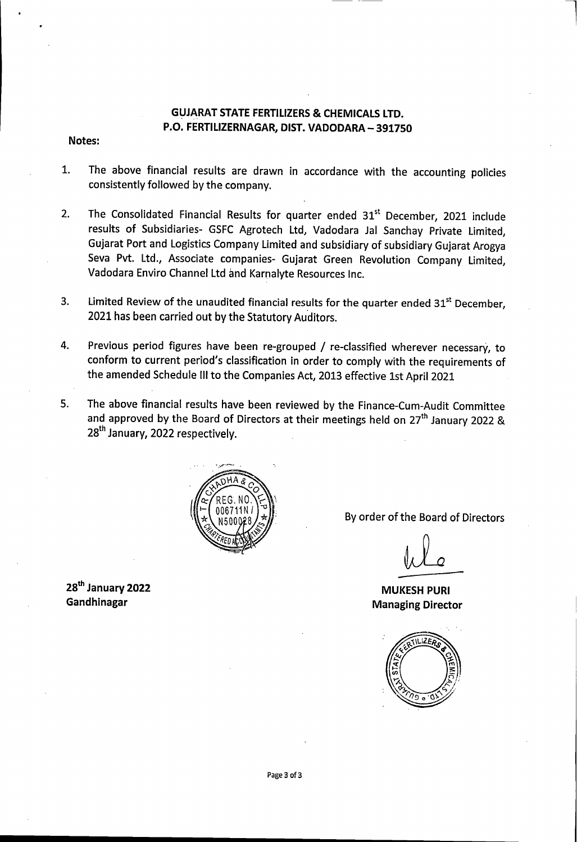## **GUJARAT STATE FERTILIZERS & CHEMICALS LTD.** P.O. FERTILIZERNAGAR, DIST. VADODARA- 391750

## Notes:

- 1. The above financial results are drawn in accordance with the accounting policies consistently followed by the company.
- 2. The Consolidated Financial Results for quarter ended 31<sup>st</sup> December, 2021 include results of Subsidiaries- GSFC Agrotech Ltd, Vadodara Jal Sanchay Private Limited, Gujarat Port and Logistics Company Limited and subsidiary of subsidiary Gujarat Arogya Seva Pvt. Ltd., Associate companies- Gujarat Green Revolution Company Limited, Vadodara Enviro Channel Ltd and Karnalyte Resources Inc.
- 3. Limited Review of the unaudited financial results for the quarter ended 31<sup>st</sup> December. 2021 has been carried out by the Statutory Auditors.
- 4. Previous period figures have been re-grouped / re-classified wherever necessary, to conform to current period's classification in order to comply with the requirements of the amended Schedule Ill to the Companies Act, 2013 effective 1st April 2021
- 5. The above financial results have been reviewed by the Finance-Cum-Audit Committee and approved by the Board of Directors at their meetings held on  $27<sup>th</sup>$  January 2022 & 28<sup>th</sup> January, 2022 respectively.



28<sup>th</sup> January 2022 Gandhinagar

By order of the Board of Directors

l

MUKESH PURl Managing Director

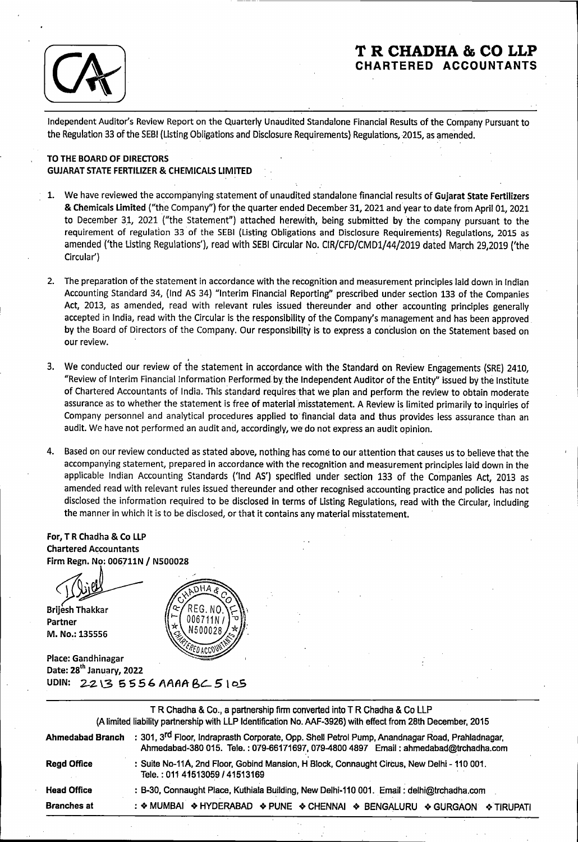

# **T R CHADHA & CO LLP CHARTERED ACCOUNTANTS**

. .

Independent Auditor's Review Report on the Quarterly Unaudited Standalone Financial Results of the Company Pursuant to the Regulation 33 of the SEBI (Listing Obligations and Disclosure Requirements) Regulations, 2015, as amended.

## TO THE BOARD OF DIRECTORS GUJARAT STATE FERTILIZER & CHEMICALS LIMITED

- 1. We have reviewed the accompanying statement of unaudited standalone financial results of Gujarat State Fertilizers & Chemicals Limited ("the Company") for the quarter ended December 31, 2021 and year to date from April 01, 2021 to December 31, 2021 ("the Statement") attached herewith, being submitted by the company pursuant to the requirement of regulation 33 of the SEBI (Listing Obligations and Disclosure Requirements) Regulations, 2015 as amended ('the Listing Regulations'), read with SEBI Circular No. CIR/CFD/CMD1/44/2019 dated March 29,2019 ('the Circular')
- 2. The preparation of the statement in accordance with the recognition and measurement principles laid down in Indian Accounting Standard 34, (lnd AS 34) "Interim Financial Reporting'' prescribed under section 133 of the Companies Act, 2013, as amended, read with relevant rules issued thereunder arid other accounting principles generally accepted in India, read with the Circular is the responsibility of the Company's management and has been approved by the Board of Directors of the Company. Our responsibility is to express a conclusion on the Statement based on our review.
- 3. We conducted our review of the statement in accordance with the Standard on Review Engagements (SRE) 2410, "Review of Interim Financial Information Performed by the Independent Auditor of the Entity" issued by the Institute of Chartered Accountants of India. This standard requires that we plan and perform the review to obtain moderate assurance as to whether the statement is free of material misstatement. A Review is limited primarily to inquiries of Company personnel and analytical procedures applied to financial data and thus provides less assurance than an audit. We have not performed an audit and, accordingly, we do not express an audit opinion.
- 4. Based on our review conducted as stated above, nothing has come to our attention that causes us to believe that the accompanying statement, prepared in accordance with the recognition and measurement principles laid down in the applicable Indian Accounting Standards {'lnd AS') specified under section 133 of the Companies Act, 2013 as amended read with relevant rules issued thereunder and other recognised accounting practice and policies has not disclosed the information required to be disclosed in terms of Listing Regulations, read with the Circular, including the manner in which it is to be disclosed, or that it contains any material misstatement.

## For, T R Chadha & Co LLP **Chartered Accountants** Firm Regn. No: 006711N / N500028

**Brijesh Thakkar** 

Partner M. No.: 135556



Place: Gandhinagar Date: 28<sup>th</sup> January, 2022 UDIN: 2213 5556 AAAA BC 5 105

|                    | TR Chadha & Co., a partnership firm converted into TR Chadha & Co LLP<br>(A limited liability partnership with LLP Identification No. AAF-3926) with effect from 28th December, 2015               |
|--------------------|----------------------------------------------------------------------------------------------------------------------------------------------------------------------------------------------------|
| Ahmedabad Branch   | : 301, 3 <sup>rd</sup> Floor, Indraprasth Corporate, Opp. Shell Petrol Pump, Anandnagar Road, Prahladnagar,<br>Ahmedabad-380 015. Tele.: 079-66171697, 079-4800 4897 Email: ahmedabad@trchadha.com |
| <b>Read Office</b> | : Suite No-11A, 2nd Floor, Gobind Mansion, H Block, Connaught Circus, New Delhi - 110 001.<br>Tele.: 011 41513059 / 41513169                                                                       |
| <b>Head Office</b> | : B-30, Connaught Place, Kuthiala Building, New Delhi-110 001. Email: delhi@trchadha.com                                                                                                           |
| <b>Branches at</b> | : ◆ MUMBAI ◆ HYDERABAD ◆ PUNE ◆ CHENNAI ◆ BENGALURU<br>❖ GURGAON<br><b>❖ TIRUPATI</b>                                                                                                              |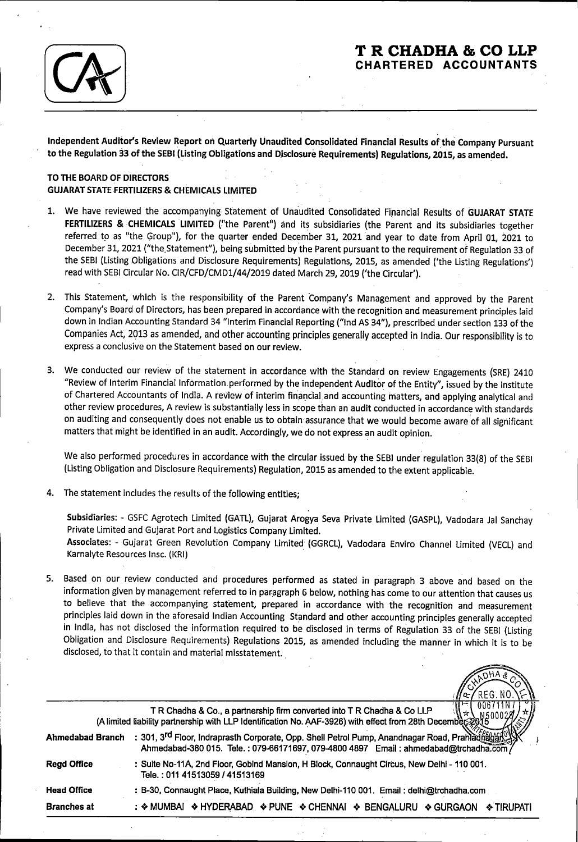

## **T R CHADHA & CO LLP CHARTERED ACCOUNTANTS**

Independent Auditor's Review Report on Quarterly Unaudited Consolidated Financial Results of the Company Pursuant to the Regulation 33 of the SEBI (Listing Obligations and Disclosure Requirements) Regulations, 2015, as amended.

#### TO THE BOARD OF DIRECTORS GUJARAT STATE-FERTILIZERS & CHEMICALS LIMITED

- We have reviewed the accompanying Statement of Unaudited Consolidated Financial Results of GUJARAT STATE FERTILIZERS & CHEMICALS LIMITED ("the Parent") and its subsidiaries (the Parent and its subsidiaries together referred to as "the Group"), for the quarter ended December 31, 2021 and year to date from April 01, 2021 to December 31, 2021 ("the Statement"), being submitted by the Parent pursuant to the requirement of Regulation 33 of the SEBI (Listing Obligations and Disclosure Requirements) Regulations, 2015, as amended ('the Listing Regulations') read with SEBI Circular No. CIR/CFD/CMD1/44/2019 dated March 29, 2019 ('the Circular').
- 2. This Statement, which is the responsibility of the Parent Company's Management and approved by the Parent Company's Board of Directors, has been prepared in accordance with the recognition and measurement principles laid down in Indian Accounting Standard 34 "Interim Financial Reporting ("lnd AS 34"), prescribed under section 133 of the Companies Act, 2013 as amended, and other accounting principles generally accepted in India. Our responsibility is to express a conclusive on the Statement based on our review.
- 3. We conducted our review of the statement in accordance with the Standard on review Engagements (SRE) 2410 "Review of Interim Financial Information. performed by the independent Auditor of the Entity", issued by the Institute of Chartered Accountants of India. A review of interim financial and accounting matters, and applying analytical and other review procedures, A review is substantially less in scope than an audit conducted in accordance with standards on auditing and consequently does not enable us to obtain assurance that we would become aware of all significant matters that might be identified in an audit. Accordingly, we do not express an audit opinion.

We also performed procedures in accordance with the circular issued by the SEBI under regulation 33(8) of the SEBI (listing Obligation and Disclosure Requirements) Regulation, 2015 as amended to the extent applicable.

The statement includes the results of the following entities;

Subsidiaries: - GSFC Agrotech Limited (GATL), Gujarat Arogya Seva Private Limited (GASPL), Vadodara Jal Sanchay Private Limited and Gujarat Port and Logistics Company Limited.

Associates: - Gujarat Green Revolution Company Limited· (GGRCL), Vadodara Enviro Channel Limited (VECL) and Karnalyte Resources lnsc. (KRI)

5. Based on our review conducted and procedures performed as stated in paragraph 3 above and based on the information given by management referred to in paragraph 6 below, nothing has come to our attention that causes us to believe that the accompanying statement, prepared in accordance with the recognition and measurement principles laid down in the aforesaid Indian Accounting Standard and other accounting principles generally accepted in India, has not disclosed the information required to be disclosed in terms of Regulation 33 of the SEBI (Listing Obligation and Disclosure Requirements) Regulations 2015, as amended including the manner in which it is to be disclosed, to that it contain and material misstatement. .

|                         | 14 / REG NO.\\-\\                                                                                                                                                                                  |
|-------------------------|----------------------------------------------------------------------------------------------------------------------------------------------------------------------------------------------------|
|                         | 00671<br>TR Chadha & Co., a partnership firm converted into TR Chadha & Co LLP<br>(A limited liability partnership with LLP Identification No. AAF-3926) with effect from 28th December            |
| <b>Ahmedabad Branch</b> | : 301, 3 <sup>rd</sup> Floor, Indraprasth Corporate, Opp. Shell Petrol Pump, Anandnagar Road, Prahladfiagaf<br>Ahmedabad-380 015. Tele.: 079-66171697, 079-4800 4897 Email: ahmedabad@trchadha.com |
| <b>Read Office</b>      | : Suite No-11A, 2nd Floor, Gobind Mansion, H Block, Connaught Circus, New Delhi - 110 001.<br>Tele.: 011 41513059 / 41513169                                                                       |
| <b>Head Office</b>      | : B-30, Connaught Place, Kuthiala Building, New Delhi-110 001. Email: delhi@trchadha.com                                                                                                           |
| <b>Branches at</b>      | : ◆ MUMBAI ◆ HYDERABAD → PUNE → CHENNAI → BENGALURU → GURGAON<br>I ❖ TIRUPATI                                                                                                                      |